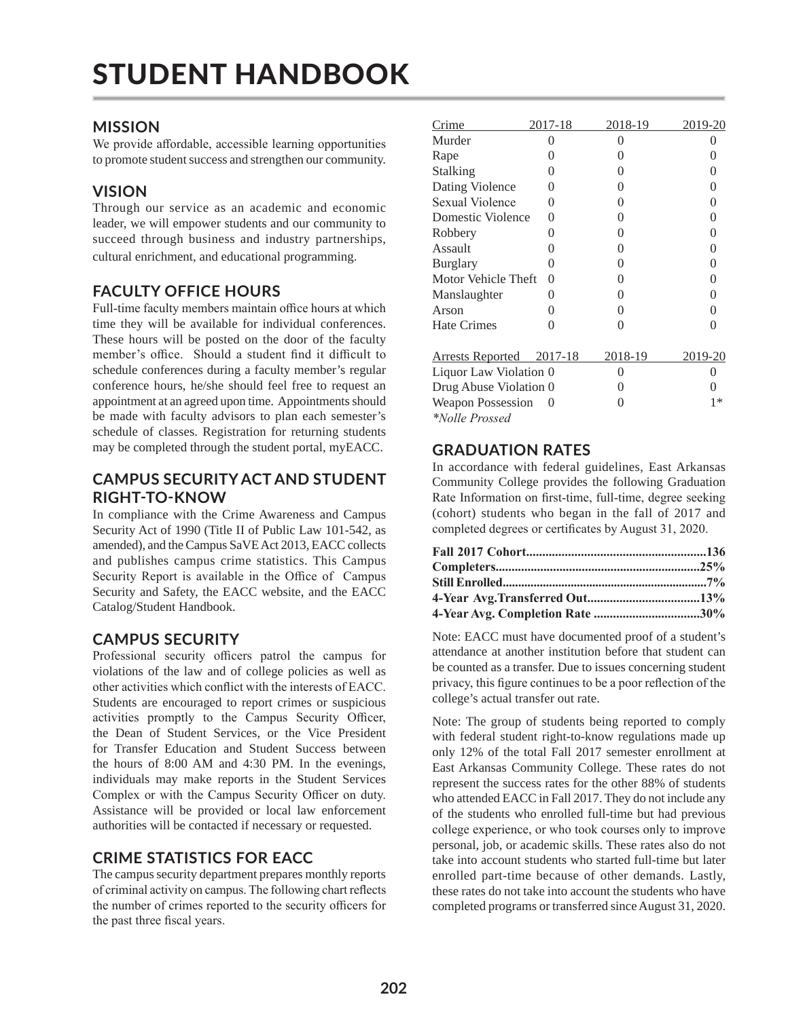# **MISSION**

We provide affordable, accessible learning opportunities to promote student success and strengthen our community.

# **VISION**

Through our service as an academic and economic leader, we will empower students and our community to succeed through business and industry partnerships, cultural enrichment, and educational programming.

# **FACULTY OFFICE HOURS**

Full-time faculty members maintain office hours at which time they will be available for individual conferences. These hours will be posted on the door of the faculty member's office. Should a student find it difficult to schedule conferences during a faculty member's regular conference hours, he/she should feel free to request an appointment at an agreed upon time. Appointments should be made with faculty advisors to plan each semester's schedule of classes. Registration for returning students may be completed through the student portal, myEACC.

# **CAMPUS SECURITY ACT AND STUDENT RIGHT-TO-KNOW**

In compliance with the Crime Awareness and Campus Security Act of 1990 (Title II of Public Law 101-542, as amended), and the Campus SaVE Act 2013, EACC collects and publishes campus crime statistics. This Campus Security Report is available in the Office of Campus Security and Safety, the EACC website, and the EACC Catalog/Student Handbook.

# **CAMPUS SECURITY**

Professional security officers patrol the campus for violations of the law and of college policies as well as other activities which conflict with the interests of EACC. Students are encouraged to report crimes or suspicious activities promptly to the Campus Security Officer, the Dean of Student Services, or the Vice President for Transfer Education and Student Success between the hours of 8:00 AM and 4:30 PM. In the evenings, individuals may make reports in the Student Services Complex or with the Campus Security Officer on duty. Assistance will be provided or local law enforcement authorities will be contacted if necessary or requested.

# **CRIME STATISTICS FOR EACC**

The campus security department prepares monthly reports of criminal activity on campus. The following chart reflects the number of crimes reported to the security officers for the past three fiscal years.

| Crime                           | 2017-18          | 2018-19          | 2019-20          |
|---------------------------------|------------------|------------------|------------------|
| Murder                          | 0                | 0                |                  |
| Rape                            | $\left( \right)$ | 0                | 0                |
| Stalking                        | 0                | 0                | $\mathcal{O}$    |
| Dating Violence                 | 0                | 0                | $\theta$         |
| Sexual Violence                 | 0                | 0                | 0                |
| Domestic Violence               | $\Omega$         | 0                | $\theta$         |
| Robbery                         | 0                | 0                | $\theta$         |
| Assault                         | 0                | 0                | 0                |
| <b>Burglary</b>                 | 0                | 0                | $\theta$         |
| Motor Vehicle Theft             | $\Omega$         | 0                | $\left( \right)$ |
| Manslaughter                    | 0                | 0                | 0                |
| Arson                           | 0                | 0                | $\mathcal{L}$    |
| <b>Hate Crimes</b>              | 0                | 0                | $\mathcal{O}$    |
| <u>Arrests Reported 2017-18</u> |                  | 2018-19          | 2019-20          |
| Liquor Law Violation 0          |                  | 0                |                  |
| Drug Abuse Violation 0          |                  | $\left( \right)$ |                  |
| Weapon Possession               |                  | ∩                | $1*$             |
| *Nolle Prossed                  |                  |                  |                  |

# **GRADUATION RATES**

In accordance with federal guidelines, East Arkansas Community College provides the following Graduation Rate Information on first-time, full-time, degree seeking (cohort) students who began in the fall of 2017 and completed degrees or certificates by August 31, 2020.

Note: EACC must have documented proof of a student's attendance at another institution before that student can be counted as a transfer. Due to issues concerning student privacy, this figure continues to be a poor reflection of the college's actual transfer out rate.

Note: The group of students being reported to comply with federal student right-to-know regulations made up only 12% of the total Fall 2017 semester enrollment at East Arkansas Community College. These rates do not represent the success rates for the other 88% of students who attended EACC in Fall 2017. They do not include any of the students who enrolled full-time but had previous college experience, or who took courses only to improve personal, job, or academic skills. These rates also do not take into account students who started full-time but later enrolled part-time because of other demands. Lastly, these rates do not take into account the students who have completed programs or transferred since August 31, 2020.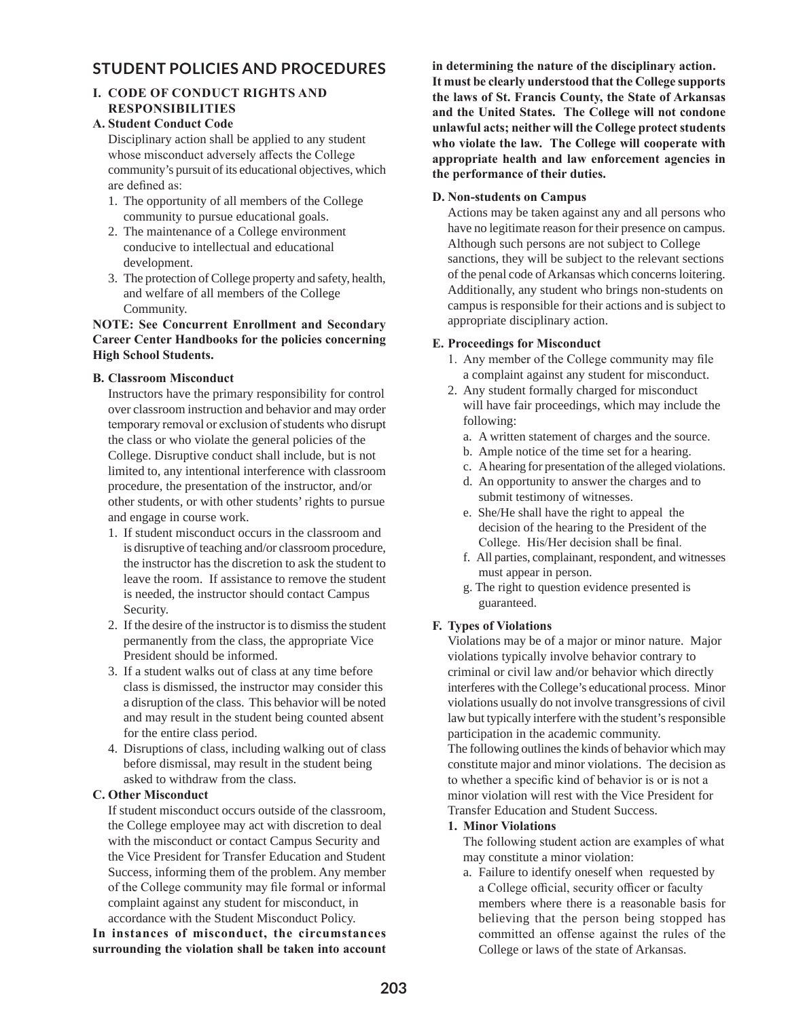# **STUDENT POLICIES AND PROCEDURES**

# **I. CODE OF CONDUCT RIGHTS AND RESPONSIBILITIES**

## **A. Student Conduct Code**

Disciplinary action shall be applied to any student whose misconduct adversely affects the College community's pursuit of its educational objectives, which are defined as:

- 1. The opportunity of all members of the College community to pursue educational goals.
- 2. The maintenance of a College environment conducive to intellectual and educational development.
- 3. The protection of College property and safety, health, and welfare of all members of the College Community.

## **NOTE: See Concurrent Enrollment and Secondary Career Center Handbooks for the policies concerning High School Students.**

## **B. Classroom Misconduct**

Instructors have the primary responsibility for control over classroom instruction and behavior and may order temporary removal or exclusion of students who disrupt the class or who violate the general policies of the College. Disruptive conduct shall include, but is not limited to, any intentional interference with classroom procedure, the presentation of the instructor, and/or other students, or with other students' rights to pursue and engage in course work.

- 1. If student misconduct occurs in the classroom and is disruptive of teaching and/or classroom procedure, the instructor has the discretion to ask the student to leave the room. If assistance to remove the student is needed, the instructor should contact Campus Security.
- 2. If the desire of the instructor is to dismiss the student permanently from the class, the appropriate Vice President should be informed.
- 3. If a student walks out of class at any time before class is dismissed, the instructor may consider this a disruption of the class. This behavior will be noted and may result in the student being counted absent for the entire class period.
- 4. Disruptions of class, including walking out of class before dismissal, may result in the student being asked to withdraw from the class.

# **C. Other Misconduct**

If student misconduct occurs outside of the classroom, the College employee may act with discretion to deal with the misconduct or contact Campus Security and the Vice President for Transfer Education and Student Success, informing them of the problem. Any member of the College community may file formal or informal complaint against any student for misconduct, in accordance with the Student Misconduct Policy.

**In instances of misconduct, the circumstances surrounding the violation shall be taken into account**  **in determining the nature of the disciplinary action. It must be clearly understood that the College supports the laws of St. Francis County, the State of Arkansas and the United States. The College will not condone unlawful acts; neither will the College protect students who violate the law. The College will cooperate with appropriate health and law enforcement agencies in the performance of their duties.**

## **D. Non-students on Campus**

Actions may be taken against any and all persons who have no legitimate reason for their presence on campus. Although such persons are not subject to College sanctions, they will be subject to the relevant sections of the penal code of Arkansas which concerns loitering. Additionally, any student who brings non-students on campus is responsible for their actions and is subject to appropriate disciplinary action.

## **E. Proceedings for Misconduct**

- 1. Any member of the College community may file a complaint against any student for misconduct.
- 2. Any student formally charged for misconduct will have fair proceedings, which may include the following:
	- a. A written statement of charges and the source.
	- b. Ample notice of the time set for a hearing.
	- c. A hearing for presentation of the alleged violations.
	- d. An opportunity to answer the charges and to submit testimony of witnesses.
	- e. She/He shall have the right to appeal the decision of the hearing to the President of the College. His/Her decision shall be final.
	- f. All parties, complainant, respondent, and witnesses must appear in person.
	- g. The right to question evidence presented is guaranteed.

# **F. Types of Violations**

Violations may be of a major or minor nature. Major violations typically involve behavior contrary to criminal or civil law and/or behavior which directly interferes with the College's educational process. Minor violations usually do not involve transgressions of civil law but typically interfere with the student's responsible participation in the academic community.

The following outlines the kinds of behavior which may constitute major and minor violations. The decision as to whether a specific kind of behavior is or is not a minor violation will rest with the Vice President for Transfer Education and Student Success.

#### **1. Minor Violations**

The following student action are examples of what may constitute a minor violation:

a. Failure to identify oneself when requested by a College official, security officer or faculty members where there is a reasonable basis for believing that the person being stopped has committed an offense against the rules of the College or laws of the state of Arkansas.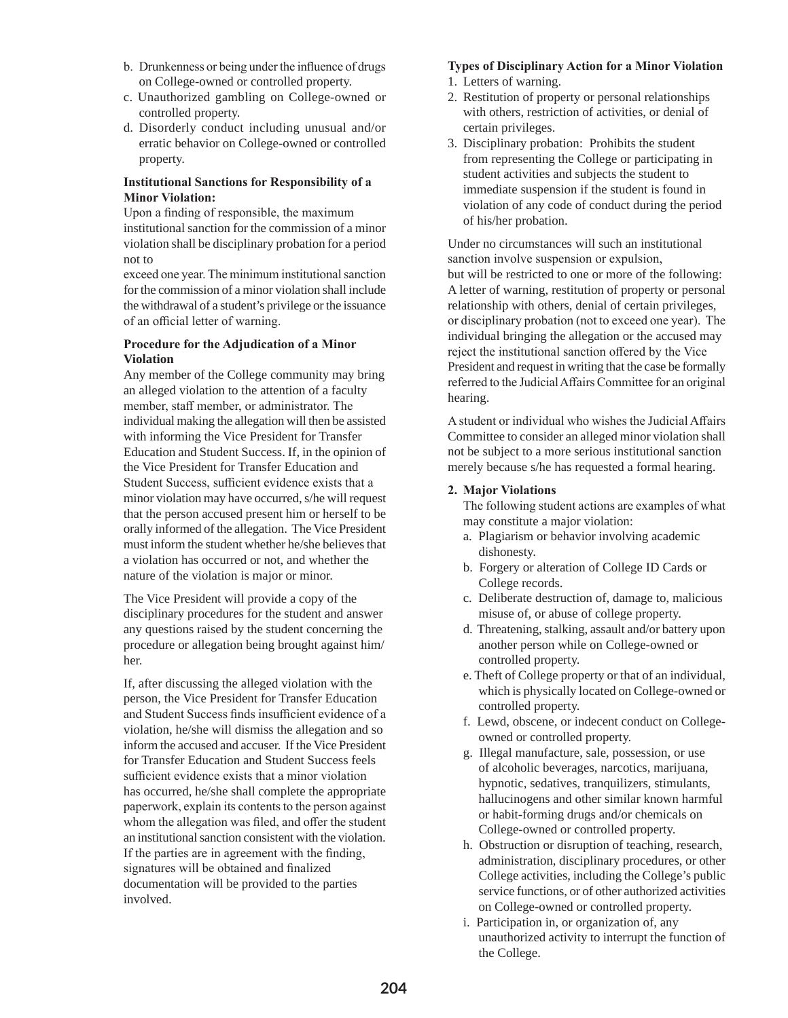- b. Drunkenness or being under the influence of drugs on College-owned or controlled property.
- c. Unauthorized gambling on College-owned or controlled property.
- d. Disorderly conduct including unusual and/or erratic behavior on College-owned or controlled property.

## **Institutional Sanctions for Responsibility of a Minor Violation:**

Upon a finding of responsible, the maximum institutional sanction for the commission of a minor violation shall be disciplinary probation for a period not to

exceed one year. The minimum institutional sanction for the commission of a minor violation shall include the withdrawal of a student's privilege or the issuance of an official letter of warning.

#### **Procedure for the Adjudication of a Minor Violation**

 Any member of the College community may bring an alleged violation to the attention of a faculty member, staff member, or administrator. The individual making the allegation will then be assisted with informing the Vice President for Transfer Education and Student Success. If, in the opinion of the Vice President for Transfer Education and Student Success, sufficient evidence exists that a minor violation may have occurred, s/he will request that the person accused present him or herself to be orally informed of the allegation. The Vice President must inform the student whether he/she believes that a violation has occurred or not, and whether the nature of the violation is major or minor.

 The Vice President will provide a copy of the disciplinary procedures for the student and answer any questions raised by the student concerning the procedure or allegation being brought against him/ her.

 If, after discussing the alleged violation with the person, the Vice President for Transfer Education and Student Success finds insufficient evidence of a violation, he/she will dismiss the allegation and so inform the accused and accuser. If the Vice President for Transfer Education and Student Success feels sufficient evidence exists that a minor violation has occurred, he/she shall complete the appropriate paperwork, explain its contents to the person against whom the allegation was filed, and offer the student an institutional sanction consistent with the violation. If the parties are in agreement with the finding, signatures will be obtained and finalized documentation will be provided to the parties involved.

# **Types of Disciplinary Action for a Minor Violation**

- 1. Letters of warning.
- 2. Restitution of property or personal relationships with others, restriction of activities, or denial of certain privileges.
- 3. Disciplinary probation: Prohibits the student from representing the College or participating in student activities and subjects the student to immediate suspension if the student is found in violation of any code of conduct during the period of his/her probation.

Under no circumstances will such an institutional sanction involve suspension or expulsion, but will be restricted to one or more of the following: A letter of warning, restitution of property or personal relationship with others, denial of certain privileges, or disciplinary probation (not to exceed one year). The individual bringing the allegation or the accused may reject the institutional sanction offered by the Vice President and request in writing that the case be formally referred to the Judicial Affairs Committee for an original hearing.

A student or individual who wishes the Judicial Affairs Committee to consider an alleged minor violation shall not be subject to a more serious institutional sanction merely because s/he has requested a formal hearing.

# **2. Major Violations**

The following student actions are examples of what may constitute a major violation:

- a. Plagiarism or behavior involving academic dishonesty.
- b. Forgery or alteration of College ID Cards or College records.
- c. Deliberate destruction of, damage to, malicious misuse of, or abuse of college property.
- d. Threatening, stalking, assault and/or battery upon another person while on College-owned or controlled property.
- e. Theft of College property or that of an individual, which is physically located on College-owned or controlled property.
- f. Lewd, obscene, or indecent conduct on College owned or controlled property.
- g. Illegal manufacture, sale, possession, or use of alcoholic beverages, narcotics, marijuana, hypnotic, sedatives, tranquilizers, stimulants, hallucinogens and other similar known harmful or habit-forming drugs and/or chemicals on College-owned or controlled property.
- h. Obstruction or disruption of teaching, research, administration, disciplinary procedures, or other College activities, including the College's public service functions, or of other authorized activities on College-owned or controlled property.
- i. Participation in, or organization of, any unauthorized activity to interrupt the function of the College.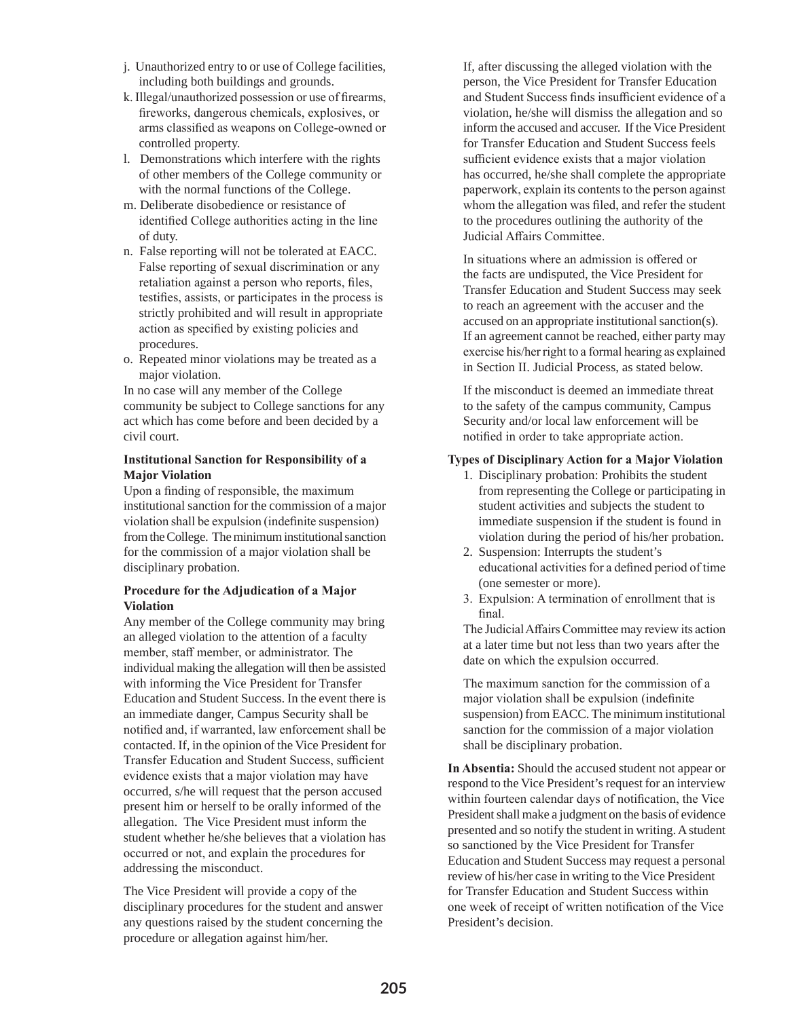- j. Unauthorized entry to or use of College facilities, including both buildings and grounds.
- k. Illegal/unauthorized possession or use of firearms, fireworks, dangerous chemicals, explosives, or arms classified as weapons on College-owned or controlled property.
- l. Demonstrations which interfere with the rights of other members of the College community or with the normal functions of the College.
- m. Deliberate disobedience or resistance of identified College authorities acting in the line of duty.
- n. False reporting will not be tolerated at EACC. False reporting of sexual discrimination or any retaliation against a person who reports, files, testifies, assists, or participates in the process is strictly prohibited and will result in appropriate action as specified by existing policies and procedures.
- o. Repeated minor violations may be treated as a major violation.

 In no case will any member of the College community be subject to College sanctions for any act which has come before and been decided by a civil court.

## **Institutional Sanction for Responsibility of a Major Violation**

Upon a finding of responsible, the maximum institutional sanction for the commission of a major violation shall be expulsion (indefinite suspension) from the College. The minimum institutional sanction for the commission of a major violation shall be disciplinary probation.

## **Procedure for the Adjudication of a Major Violation**

 Any member of the College community may bring an alleged violation to the attention of a faculty member, staff member, or administrator. The individual making the allegation will then be assisted with informing the Vice President for Transfer Education and Student Success. In the event there is an immediate danger, Campus Security shall be notified and, if warranted, law enforcement shall be contacted. If, in the opinion of the Vice President for Transfer Education and Student Success, sufficient evidence exists that a major violation may have occurred, s/he will request that the person accused present him or herself to be orally informed of the allegation. The Vice President must inform the student whether he/she believes that a violation has occurred or not, and explain the procedures for addressing the misconduct.

 The Vice President will provide a copy of the disciplinary procedures for the student and answer any questions raised by the student concerning the procedure or allegation against him/her.

 If, after discussing the alleged violation with the person, the Vice President for Transfer Education and Student Success finds insufficient evidence of a violation, he/she will dismiss the allegation and so inform the accused and accuser. If the Vice President for Transfer Education and Student Success feels sufficient evidence exists that a major violation has occurred, he/she shall complete the appropriate paperwork, explain its contents to the person against whom the allegation was filed, and refer the student to the procedures outlining the authority of the Judicial Affairs Committee.

In situations where an admission is offered or the facts are undisputed, the Vice President for Transfer Education and Student Success may seek to reach an agreement with the accuser and the accused on an appropriate institutional sanction(s). If an agreement cannot be reached, either party may exercise his/her right to a formal hearing as explained in Section II. Judicial Process, as stated below.

 If the misconduct is deemed an immediate threat to the safety of the campus community, Campus Security and/or local law enforcement will be notified in order to take appropriate action.

## **Types of Disciplinary Action for a Major Violation**

- 1. Disciplinary probation: Prohibits the student from representing the College or participating in student activities and subjects the student to immediate suspension if the student is found in violation during the period of his/her probation.
- 2. Suspension: Interrupts the student's educational activities for a defined period of time (one semester or more).
- 3. Expulsion: A termination of enrollment that is final.

The Judicial Affairs Committee may review its action at a later time but not less than two years after the date on which the expulsion occurred.

The maximum sanction for the commission of a major violation shall be expulsion (indefinite suspension) from EACC. The minimum institutional sanction for the commission of a major violation shall be disciplinary probation.

**In Absentia:** Should the accused student not appear or respond to the Vice President's request for an interview within fourteen calendar days of notification, the Vice President shall make a judgment on the basis of evidence presented and so notify the student in writing. A student so sanctioned by the Vice President for Transfer Education and Student Success may request a personal review of his/her case in writing to the Vice President for Transfer Education and Student Success within one week of receipt of written notification of the Vice President's decision.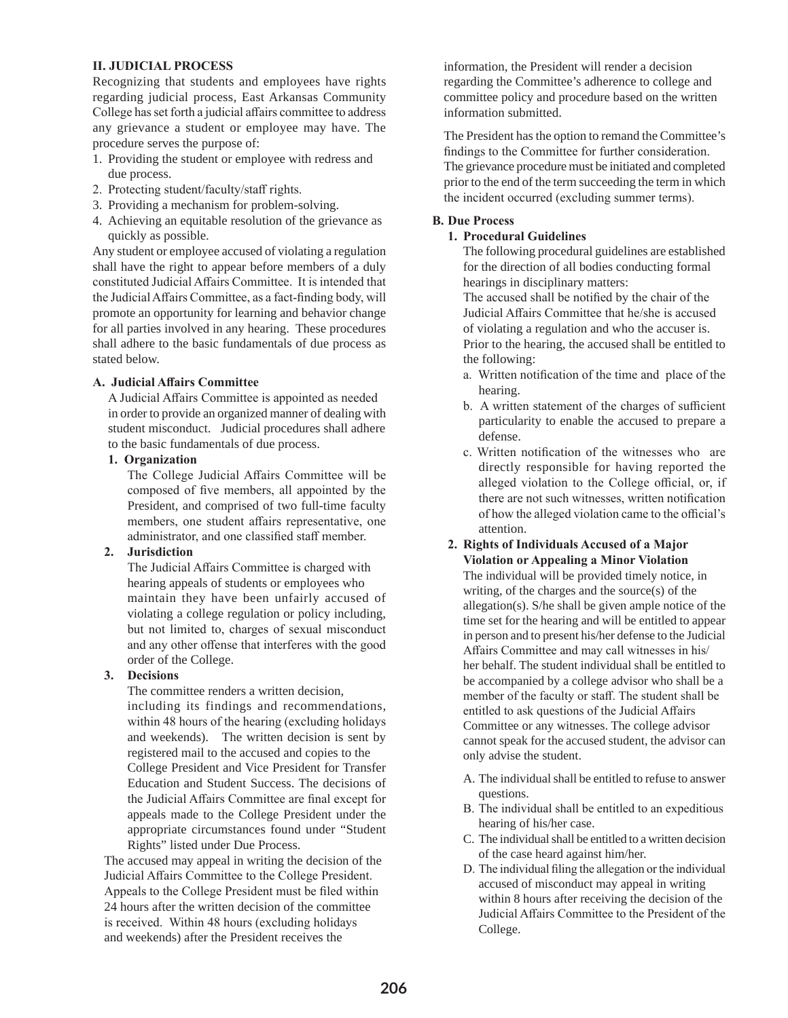#### **II. JUDICIAL PROCESS**

Recognizing that students and employees have rights regarding judicial process, East Arkansas Community College has set forth a judicial affairs committee to address any grievance a student or employee may have. The procedure serves the purpose of:

- 1. Providing the student or employee with redress and due process.
- 2. Protecting student/faculty/staff rights.
- 3. Providing a mechanism for problem-solving.
- 4. Achieving an equitable resolution of the grievance as quickly as possible.

Any student or employee accused of violating a regulation shall have the right to appear before members of a duly constituted Judicial Affairs Committee. It is intended that the Judicial Affairs Committee, as a fact-finding body, will promote an opportunity for learning and behavior change for all parties involved in any hearing. These procedures shall adhere to the basic fundamentals of due process as stated below.

#### **A. Judicial Affairs Committee**

A Judicial Affairs Committee is appointed as needed in order to provide an organized manner of dealing with student misconduct. Judicial procedures shall adhere to the basic fundamentals of due process.

#### **1. Organization**

The College Judicial Affairs Committee will be composed of five members, all appointed by the President, and comprised of two full-time faculty members, one student affairs representative, one administrator, and one classified staff member.

#### **2. Jurisdiction**

The Judicial Affairs Committee is charged with hearing appeals of students or employees who maintain they have been unfairly accused of violating a college regulation or policy including, but not limited to, charges of sexual misconduct and any other offense that interferes with the good order of the College.

#### **3. Decisions**

The committee renders a written decision, including its findings and recommendations, within 48 hours of the hearing (excluding holidays and weekends). The written decision is sent by registered mail to the accused and copies to the College President and Vice President for Transfer Education and Student Success. The decisions of the Judicial Affairs Committee are final except for appeals made to the College President under the appropriate circumstances found under "Student Rights" listed under Due Process.

The accused may appeal in writing the decision of the Judicial Affairs Committee to the College President. Appeals to the College President must be filed within 24 hours after the written decision of the committee is received. Within 48 hours (excluding holidays and weekends) after the President receives the

information, the President will render a decision regarding the Committee's adherence to college and committee policy and procedure based on the written information submitted.

The President has the option to remand the Committee's findings to the Committee for further consideration. The grievance procedure must be initiated and completed prior to the end of the term succeeding the term in which the incident occurred (excluding summer terms).

#### **B. Due Process**

#### **1. Procedural Guidelines**

The following procedural guidelines are established for the direction of all bodies conducting formal hearings in disciplinary matters:

The accused shall be notified by the chair of the Judicial Affairs Committee that he/she is accused of violating a regulation and who the accuser is. Prior to the hearing, the accused shall be entitled to the following:

- a. Written notification of the time and place of the hearing.
- b. A written statement of the charges of sufficient particularity to enable the accused to prepare a defense.
- c. Written notification of the witnesses who are directly responsible for having reported the alleged violation to the College official, or, if there are not such witnesses, written notification of how the alleged violation came to the official's attention.
- **2. Rights of Individuals Accused of a Major Violation or Appealing a Minor Violation** The individual will be provided timely notice, in writing, of the charges and the source(s) of the allegation(s). S/he shall be given ample notice of the time set for the hearing and will be entitled to appear in person and to present his/her defense to the Judicial Affairs Committee and may call witnesses in his/ her behalf. The student individual shall be entitled to be accompanied by a college advisor who shall be a member of the faculty or staff. The student shall be entitled to ask questions of the Judicial Affairs Committee or any witnesses. The college advisor cannot speak for the accused student, the advisor can only advise the student.
	- A. The individual shall be entitled to refuse to answer questions.
	- B. The individual shall be entitled to an expeditious hearing of his/her case.
	- C. The individual shall be entitled to a written decision of the case heard against him/her.
	- D. The individual filing the allegation or the individual accused of misconduct may appeal in writing within 8 hours after receiving the decision of the Judicial Affairs Committee to the President of the College.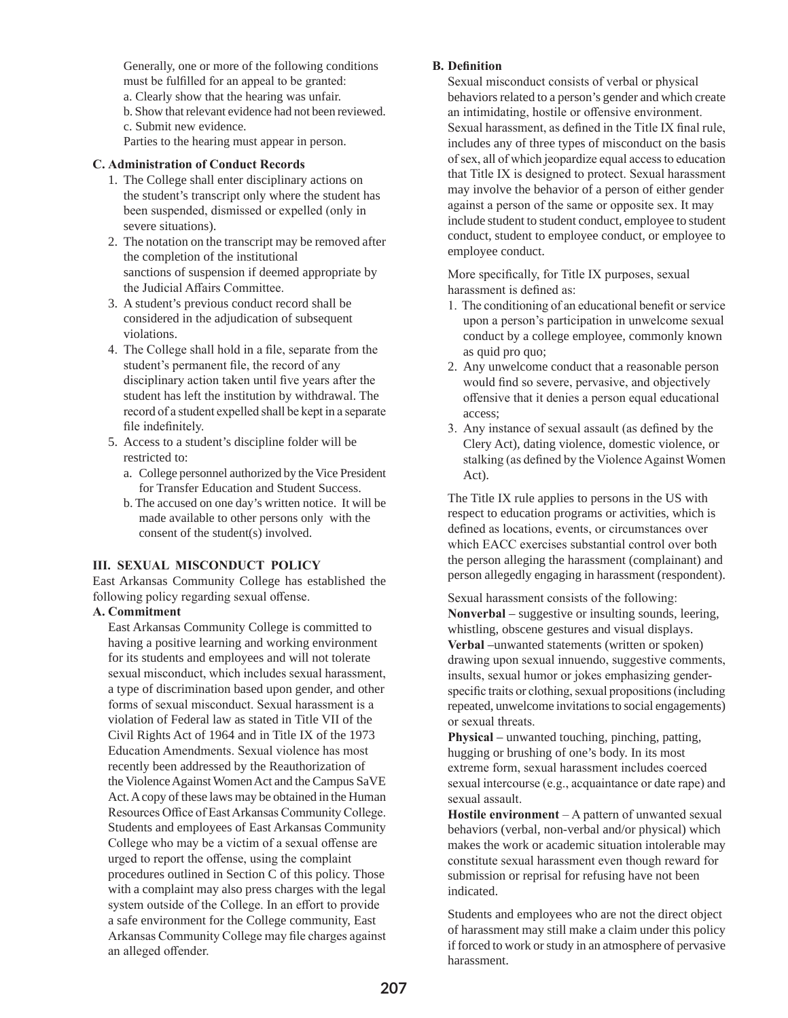Generally, one or more of the following conditions must be fulfilled for an appeal to be granted: a. Clearly show that the hearing was unfair. b. Show that relevant evidence had not been reviewed. c. Submit new evidence.

Parties to the hearing must appear in person.

#### **C. Administration of Conduct Records**

- 1. The College shall enter disciplinary actions on the student's transcript only where the student has been suspended, dismissed or expelled (only in severe situations).
- 2. The notation on the transcript may be removed after the completion of the institutional sanctions of suspension if deemed appropriate by the Judicial Affairs Committee.
- 3. A student's previous conduct record shall be considered in the adjudication of subsequent violations.
- 4. The College shall hold in a file, separate from the student's permanent file, the record of any disciplinary action taken until five years after the student has left the institution by withdrawal. The record of a student expelled shall be kept in a separate file indefinitely.
- 5. Access to a student's discipline folder will be restricted to:
	- a. College personnel authorized by the Vice President for Transfer Education and Student Success.
	- b. The accused on one day's written notice. It will be made available to other persons only with the consent of the student(s) involved.

#### **III. SEXUAL MISCONDUCT POLICY**

East Arkansas Community College has established the following policy regarding sexual offense.

#### **A. Commitment**

East Arkansas Community College is committed to having a positive learning and working environment for its students and employees and will not tolerate sexual misconduct, which includes sexual harassment, a type of discrimination based upon gender, and other forms of sexual misconduct. Sexual harassment is a violation of Federal law as stated in Title VII of the Civil Rights Act of 1964 and in Title IX of the 1973 Education Amendments. Sexual violence has most recently been addressed by the Reauthorization of the Violence Against Women Act and the Campus SaVE Act. A copy of these laws may be obtained in the Human Resources Office of East Arkansas Community College. Students and employees of East Arkansas Community College who may be a victim of a sexual offense are urged to report the offense, using the complaint procedures outlined in Section C of this policy. Those with a complaint may also press charges with the legal system outside of the College. In an effort to provide a safe environment for the College community, East Arkansas Community College may file charges against an alleged offender.

#### **B. Definition**

Sexual misconduct consists of verbal or physical behaviors related to a person's gender and which create an intimidating, hostile or offensive environment. Sexual harassment, as defined in the Title IX final rule, includes any of three types of misconduct on the basis of sex, all of which jeopardize equal access to education that Title IX is designed to protect. Sexual harassment may involve the behavior of a person of either gender against a person of the same or opposite sex. It may include student to student conduct, employee to student conduct, student to employee conduct, or employee to employee conduct.

More specifically, for Title IX purposes, sexual harassment is defined as:

- 1. The conditioning of an educational benefit or service upon a person's participation in unwelcome sexual conduct by a college employee, commonly known as quid pro quo;
- 2. Any unwelcome conduct that a reasonable person would find so severe, pervasive, and objectively offensive that it denies a person equal educational access;
- 3. Any instance of sexual assault (as defined by the Clery Act), dating violence, domestic violence, or stalking (as defined by the Violence Against Women Act).

The Title IX rule applies to persons in the US with respect to education programs or activities, which is defined as locations, events, or circumstances over which EACC exercises substantial control over both the person alleging the harassment (complainant) and person allegedly engaging in harassment (respondent).

Sexual harassment consists of the following: **Nonverbal** – suggestive or insulting sounds, leering, whistling, obscene gestures and visual displays. **Verbal** –unwanted statements (written or spoken) drawing upon sexual innuendo, suggestive comments, insults, sexual humor or jokes emphasizing genderspecific traits or clothing, sexual propositions (including repeated, unwelcome invitations to social engagements) or sexual threats.

**Physical** – unwanted touching, pinching, patting, hugging or brushing of one's body. In its most extreme form, sexual harassment includes coerced sexual intercourse (e.g., acquaintance or date rape) and sexual assault.

**Hostile environment** – A pattern of unwanted sexual behaviors (verbal, non-verbal and/or physical) which makes the work or academic situation intolerable may constitute sexual harassment even though reward for submission or reprisal for refusing have not been indicated.

Students and employees who are not the direct object of harassment may still make a claim under this policy if forced to work or study in an atmosphere of pervasive harassment.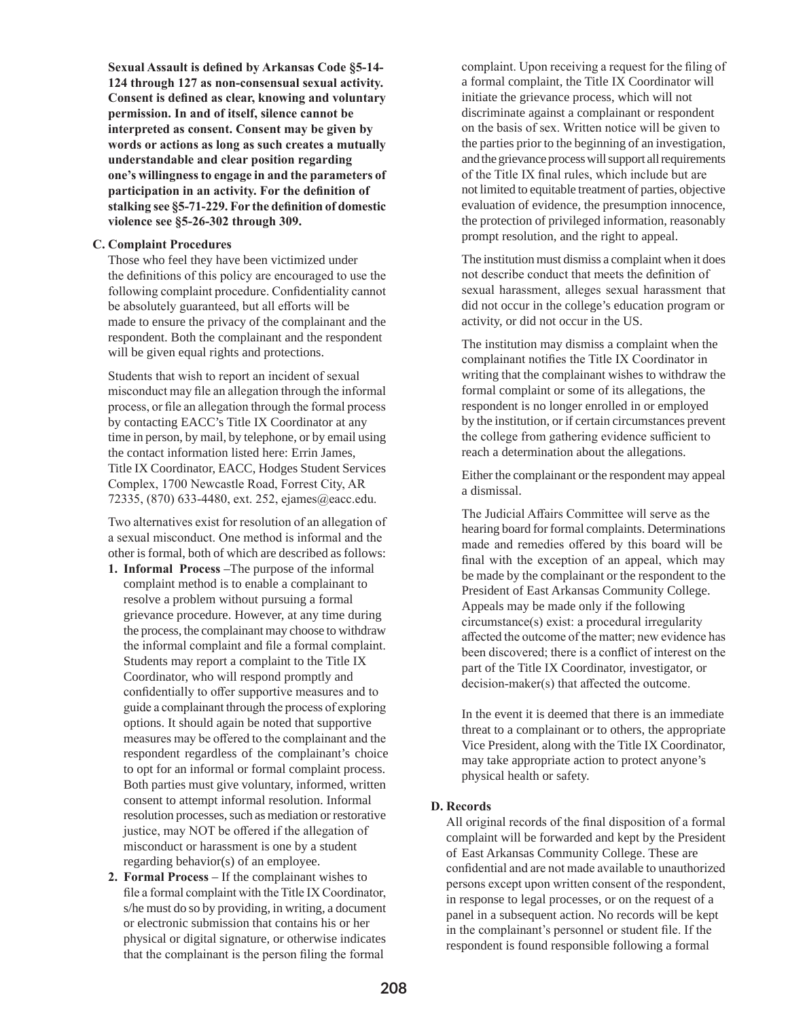**Sexual Assault is defined by Arkansas Code §5-14- 124 through 127 as non-consensual sexual activity. Consent is defined as clear, knowing and voluntary permission. In and of itself, silence cannot be interpreted as consent. Consent may be given by words or actions as long as such creates a mutually understandable and clear position regarding one's willingness to engage in and the parameters of participation in an activity. For the definition of stalking see §5-71-229. For the definition of domestic violence see §5-26-302 through 309.**

#### **C. Complaint Procedures**

Those who feel they have been victimized under the definitions of this policy are encouraged to use the following complaint procedure. Confidentiality cannot be absolutely guaranteed, but all efforts will be made to ensure the privacy of the complainant and the respondent. Both the complainant and the respondent will be given equal rights and protections.

Students that wish to report an incident of sexual misconduct may file an allegation through the informal process, or file an allegation through the formal process by contacting EACC's Title IX Coordinator at any time in person, by mail, by telephone, or by email using the contact information listed here: Errin James, Title IX Coordinator, EACC, Hodges Student Services Complex, 1700 Newcastle Road, Forrest City, AR 72335, (870) 633-4480, ext. 252, ejames@eacc.edu.

Two alternatives exist for resolution of an allegation of a sexual misconduct. One method is informal and the other is formal, both of which are described as follows:

- **1. Informal Process** –The purpose of the informal complaint method is to enable a complainant to resolve a problem without pursuing a formal grievance procedure. However, at any time during the process, the complainant may choose to withdraw the informal complaint and file a formal complaint. Students may report a complaint to the Title IX Coordinator, who will respond promptly and confidentially to offer supportive measures and to guide a complainant through the process of exploring options. It should again be noted that supportive measures may be offered to the complainant and the respondent regardless of the complainant's choice to opt for an informal or formal complaint process. Both parties must give voluntary, informed, written consent to attempt informal resolution. Informal resolution processes, such as mediation or restorative justice, may NOT be offered if the allegation of misconduct or harassment is one by a student regarding behavior(s) of an employee.
- **2. Formal Process**  If the complainant wishes to file a formal complaint with the Title IX Coordinator, s/he must do so by providing, in writing, a document or electronic submission that contains his or her physical or digital signature, or otherwise indicates that the complainant is the person filing the formal

complaint. Upon receiving a request for the filing of a formal complaint, the Title IX Coordinator will initiate the grievance process, which will not discriminate against a complainant or respondent on the basis of sex. Written notice will be given to the parties prior to the beginning of an investigation, and the grievance process will support all requirements of the Title IX final rules, which include but are not limited to equitable treatment of parties, objective evaluation of evidence, the presumption innocence, the protection of privileged information, reasonably prompt resolution, and the right to appeal.

 The institution must dismiss a complaint when it does not describe conduct that meets the definition of sexual harassment, alleges sexual harassment that did not occur in the college's education program or activity, or did not occur in the US.

 The institution may dismiss a complaint when the complainant notifies the Title IX Coordinator in writing that the complainant wishes to withdraw the formal complaint or some of its allegations, the respondent is no longer enrolled in or employed by the institution, or if certain circumstances prevent the college from gathering evidence sufficient to reach a determination about the allegations.

 Either the complainant or the respondent may appeal a dismissal.

The Judicial Affairs Committee will serve as the hearing board for formal complaints. Determinations made and remedies offered by this board will be final with the exception of an appeal, which may be made by the complainant or the respondent to the President of East Arkansas Community College. Appeals may be made only if the following circumstance(s) exist: a procedural irregularity affected the outcome of the matter; new evidence has been discovered; there is a conflict of interest on the part of the Title IX Coordinator, investigator, or decision-maker(s) that affected the outcome.

 In the event it is deemed that there is an immediate threat to a complainant or to others, the appropriate Vice President, along with the Title IX Coordinator, may take appropriate action to protect anyone's physical health or safety.

#### **D. Records**

All original records of the final disposition of a formal complaint will be forwarded and kept by the President of East Arkansas Community College. These are confidential and are not made available to unauthorized persons except upon written consent of the respondent, in response to legal processes, or on the request of a panel in a subsequent action. No records will be kept in the complainant's personnel or student file. If the respondent is found responsible following a formal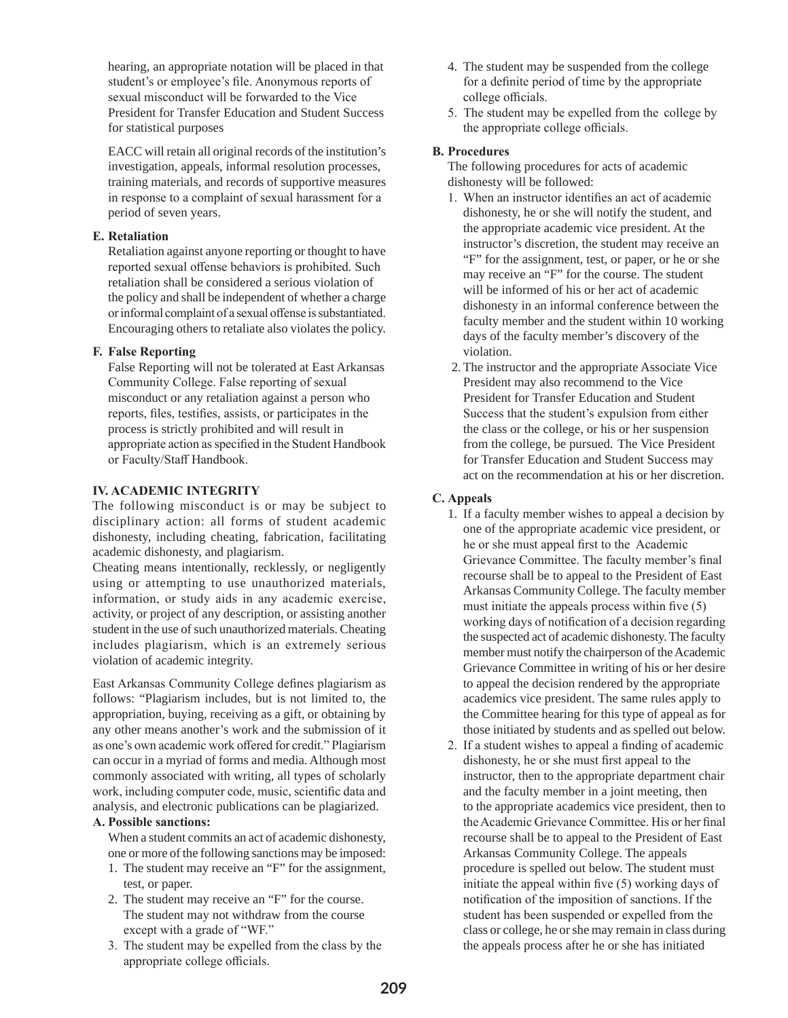hearing, an appropriate notation will be placed in that student's or employee's file. Anonymous reports of sexual misconduct will be forwarded to the Vice President for Transfer Education and Student Success for statistical purposes

EACC will retain all original records of the institution's investigation, appeals, informal resolution processes, training materials, and records of supportive measures in response to a complaint of sexual harassment for a period of seven years.

### **E. Retaliation**

Retaliation against anyone reporting or thought to have reported sexual offense behaviors is prohibited. Such retaliation shall be considered a serious violation of the policy and shall be independent of whether a charge or informal complaint of a sexual offense is substantiated. Encouraging others to retaliate also violates the policy.

# **F. False Reporting**

False Reporting will not be tolerated at East Arkansas Community College. False reporting of sexual misconduct or any retaliation against a person who reports, files, testifies, assists, or participates in the process is strictly prohibited and will result in appropriate action as specified in the Student Handbook or Faculty/Staff Handbook.

# **IV. ACADEMIC INTEGRITY**

The following misconduct is or may be subject to disciplinary action: all forms of student academic dishonesty, including cheating, fabrication, facilitating academic dishonesty, and plagiarism.

Cheating means intentionally, recklessly, or negligently using or attempting to use unauthorized materials, information, or study aids in any academic exercise, activity, or project of any description, or assisting another student in the use of such unauthorized materials. Cheating includes plagiarism, which is an extremely serious violation of academic integrity.

East Arkansas Community College defines plagiarism as follows: "Plagiarism includes, but is not limited to, the appropriation, buying, receiving as a gift, or obtaining by any other means another's work and the submission of it as one's own academic work offered for credit." Plagiarism can occur in a myriad of forms and media. Although most commonly associated with writing, all types of scholarly work, including computer code, music, scientific data and analysis, and electronic publications can be plagiarized.

# **A. Possible sanctions:**

When a student commits an act of academic dishonesty, one or more of the following sanctions may be imposed:

- 1. The student may receive an "F" for the assignment, test, or paper.
- 2. The student may receive an "F" for the course. The student may not withdraw from the course except with a grade of "WF."
- 3. The student may be expelled from the class by the appropriate college officials.
- 4. The student may be suspended from the college for a definite period of time by the appropriate college officials.
- 5. The student may be expelled from the college by the appropriate college officials.

# **B. Procedures**

The following procedures for acts of academic dishonesty will be followed:

- 1. When an instructor identifies an act of academic dishonesty, he or she will notify the student, and the appropriate academic vice president. At the instructor's discretion, the student may receive an "F" for the assignment, test, or paper, or he or she may receive an "F" for the course. The student will be informed of his or her act of academic dishonesty in an informal conference between the faculty member and the student within 10 working days of the faculty member's discovery of the violation.
- 2.The instructor and the appropriate Associate Vice President may also recommend to the Vice President for Transfer Education and Student Success that the student's expulsion from either the class or the college, or his or her suspension from the college, be pursued. The Vice President for Transfer Education and Student Success may act on the recommendation at his or her discretion.

# **C. Appeals**

- 1. If a faculty member wishes to appeal a decision by one of the appropriate academic vice president, or he or she must appeal first to the Academic Grievance Committee. The faculty member's final recourse shall be to appeal to the President of East Arkansas Community College. The faculty member must initiate the appeals process within five (5) working days of notification of a decision regarding the suspected act of academic dishonesty. The faculty member must notify the chairperson of the Academic Grievance Committee in writing of his or her desire to appeal the decision rendered by the appropriate academics vice president. The same rules apply to the Committee hearing for this type of appeal as for those initiated by students and as spelled out below.
- 2. If a student wishes to appeal a finding of academic dishonesty, he or she must first appeal to the instructor, then to the appropriate department chair and the faculty member in a joint meeting, then to the appropriate academics vice president, then to the Academic Grievance Committee. His or her final recourse shall be to appeal to the President of East Arkansas Community College. The appeals procedure is spelled out below. The student must initiate the appeal within five (5) working days of notification of the imposition of sanctions. If the student has been suspended or expelled from the class or college, he or she may remain in class during the appeals process after he or she has initiated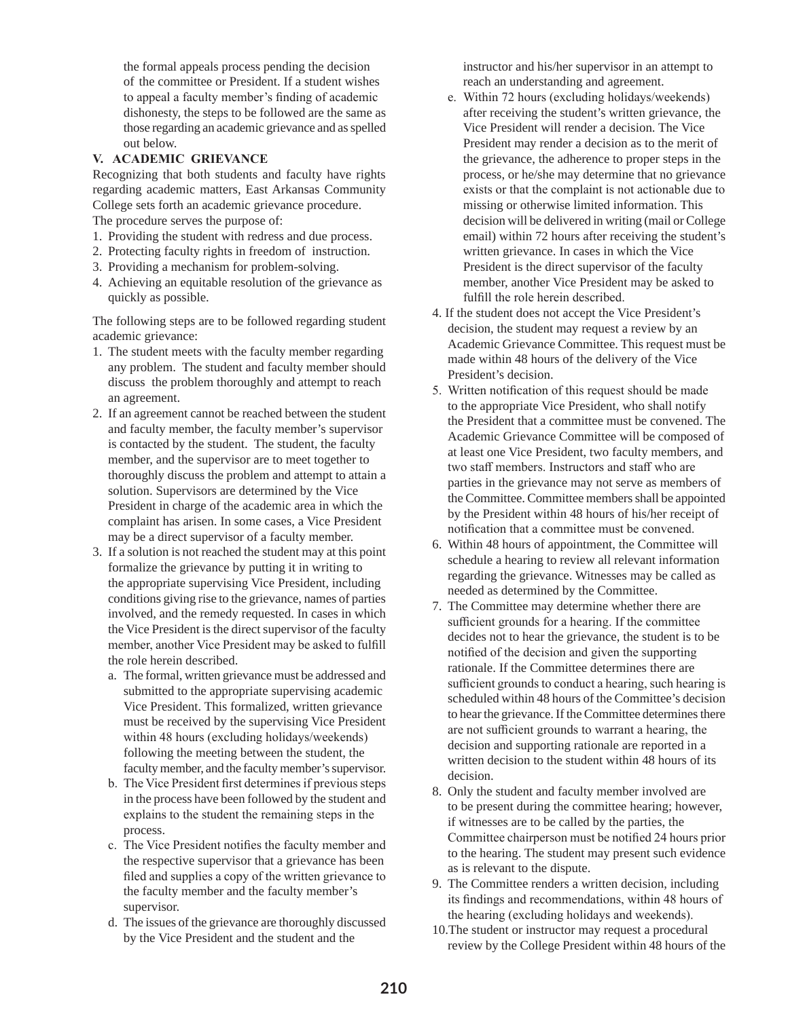the formal appeals process pending the decision of the committee or President. If a student wishes to appeal a faculty member's finding of academic dishonesty, the steps to be followed are the same as those regarding an academic grievance and as spelled out below.

# **V. ACADEMIC GRIEVANCE**

Recognizing that both students and faculty have rights regarding academic matters, East Arkansas Community College sets forth an academic grievance procedure. The procedure serves the purpose of:

- 1. Providing the student with redress and due process.
- 2. Protecting faculty rights in freedom of instruction.
- 3. Providing a mechanism for problem-solving.
- 4. Achieving an equitable resolution of the grievance as quickly as possible.

The following steps are to be followed regarding student academic grievance:

- 1. The student meets with the faculty member regarding any problem. The student and faculty member should discuss the problem thoroughly and attempt to reach an agreement.
- 2. If an agreement cannot be reached between the student and faculty member, the faculty member's supervisor is contacted by the student. The student, the faculty member, and the supervisor are to meet together to thoroughly discuss the problem and attempt to attain a solution. Supervisors are determined by the Vice President in charge of the academic area in which the complaint has arisen. In some cases, a Vice President may be a direct supervisor of a faculty member.
- 3. If a solution is not reached the student may at this point formalize the grievance by putting it in writing to the appropriate supervising Vice President, including conditions giving rise to the grievance, names of parties involved, and the remedy requested. In cases in which the Vice President is the direct supervisor of the faculty member, another Vice President may be asked to fulfill the role herein described.
	- a. The formal, written grievance must be addressed and submitted to the appropriate supervising academic Vice President. This formalized, written grievance must be received by the supervising Vice President within 48 hours (excluding holidays/weekends) following the meeting between the student, the faculty member, and the faculty member's supervisor.
	- b. The Vice President first determines if previous steps in the process have been followed by the student and explains to the student the remaining steps in the process.
	- c. The Vice President notifies the faculty member and the respective supervisor that a grievance has been filed and supplies a copy of the written grievance to the faculty member and the faculty member's supervisor.
	- d. The issues of the grievance are thoroughly discussed by the Vice President and the student and the

 instructor and his/her supervisor in an attempt to reach an understanding and agreement.

- e. Within 72 hours (excluding holidays/weekends) after receiving the student's written grievance, the Vice President will render a decision. The Vice President may render a decision as to the merit of the grievance, the adherence to proper steps in the process, or he/she may determine that no grievance exists or that the complaint is not actionable due to missing or otherwise limited information. This decision will be delivered in writing (mail or College email) within 72 hours after receiving the student's written grievance. In cases in which the Vice President is the direct supervisor of the faculty member, another Vice President may be asked to fulfill the role herein described.
- 4. If the student does not accept the Vice President's decision, the student may request a review by an Academic Grievance Committee. This request must be made within 48 hours of the delivery of the Vice President's decision.
- 5. Written notification of this request should be made to the appropriate Vice President, who shall notify the President that a committee must be convened. The Academic Grievance Committee will be composed of at least one Vice President, two faculty members, and two staff members. Instructors and staff who are parties in the grievance may not serve as members of the Committee. Committee members shall be appointed by the President within 48 hours of his/her receipt of notification that a committee must be convened.
- 6. Within 48 hours of appointment, the Committee will schedule a hearing to review all relevant information regarding the grievance. Witnesses may be called as needed as determined by the Committee.
- 7. The Committee may determine whether there are sufficient grounds for a hearing. If the committee decides not to hear the grievance, the student is to be notified of the decision and given the supporting rationale. If the Committee determines there are sufficient grounds to conduct a hearing, such hearing is scheduled within 48 hours of the Committee's decision to hear the grievance. If the Committee determines there are not sufficient grounds to warrant a hearing, the decision and supporting rationale are reported in a written decision to the student within 48 hours of its decision.
- 8. Only the student and faculty member involved are to be present during the committee hearing; however, if witnesses are to be called by the parties, the Committee chairperson must be notified 24 hours prior to the hearing. The student may present such evidence as is relevant to the dispute.
- 9. The Committee renders a written decision, including its findings and recommendations, within 48 hours of the hearing (excluding holidays and weekends).
- 10.The student or instructor may request a procedural review by the College President within 48 hours of the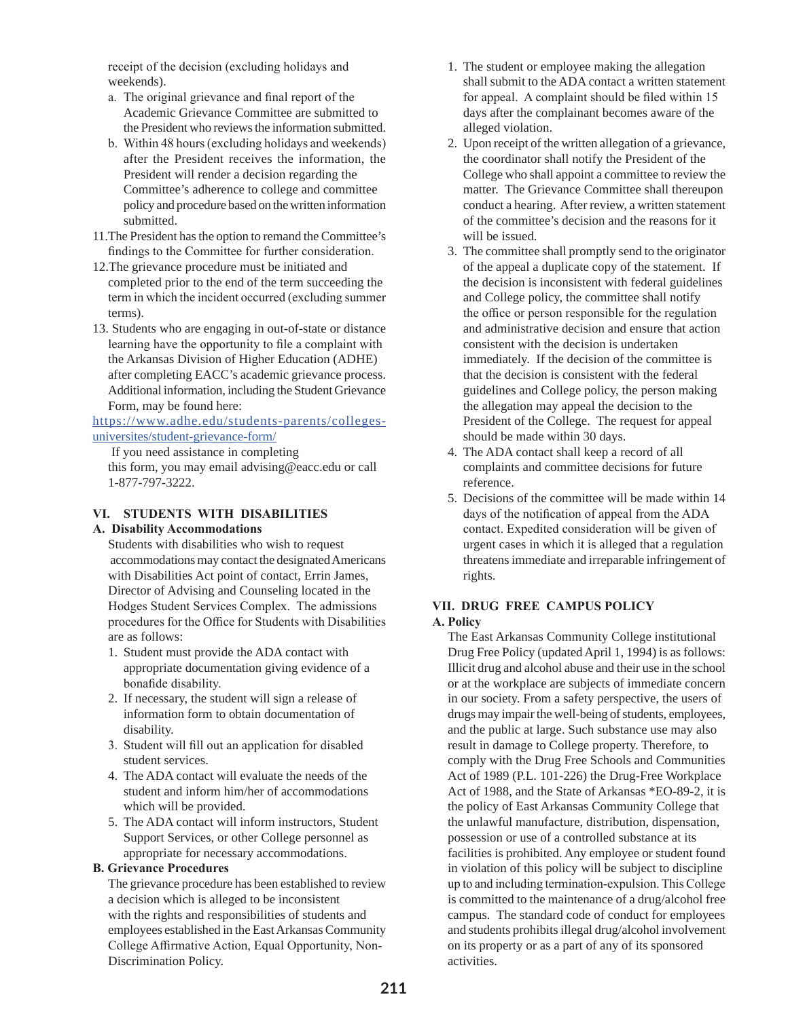receipt of the decision (excluding holidays and weekends).

- a. The original grievance and final report of the Academic Grievance Committee are submitted to the President who reviews the information submitted.
- b. Within 48 hours (excluding holidays and weekends) after the President receives the information, the President will render a decision regarding the Committee's adherence to college and committee policy and procedure based on the written information submitted.
- 11.The President has the option to remand the Committee's findings to the Committee for further consideration.
- 12.The grievance procedure must be initiated and completed prior to the end of the term succeeding the term in which the incident occurred (excluding summer terms).
- 13. Students who are engaging in out-of-state or distance learning have the opportunity to file a complaint with the Arkansas Division of Higher Education (ADHE) after completing EACC's academic grievance process. Additional information, including the Student Grievance Form, may be found here:

https://www.adhe.edu/students-parents/collegesuniversites/student-grievance-form/

 If you need assistance in completing this form, you may email advising@eacc.edu or call 1-877-797-3222.

# **VI. STUDENTS WITH DISABILITIES**

#### **A. Disability Accommodations**

Students with disabilities who wish to request accommodations may contact the designated Americans with Disabilities Act point of contact, Errin James, Director of Advising and Counseling located in the Hodges Student Services Complex. The admissions procedures for the Office for Students with Disabilities are as follows:

- 1. Student must provide the ADA contact with appropriate documentation giving evidence of a bonafide disability.
- 2. If necessary, the student will sign a release of information form to obtain documentation of disability.
- 3. Student will fill out an application for disabled student services.
- 4. The ADA contact will evaluate the needs of the student and inform him/her of accommodations which will be provided.
- 5. The ADA contact will inform instructors, Student Support Services, or other College personnel as appropriate for necessary accommodations.

#### **B. Grievance Procedures**

The grievance procedure has been established to review a decision which is alleged to be inconsistent with the rights and responsibilities of students and employees established in the East Arkansas Community College Affirmative Action, Equal Opportunity, Non-Discrimination Policy.

- 1. The student or employee making the allegation shall submit to the ADA contact a written statement for appeal. A complaint should be filed within 15 days after the complainant becomes aware of the alleged violation.
- 2. Upon receipt of the written allegation of a grievance, the coordinator shall notify the President of the College who shall appoint a committee to review the matter. The Grievance Committee shall thereupon conduct a hearing. After review, a written statement of the committee's decision and the reasons for it will be issued.
- 3. The committee shall promptly send to the originator of the appeal a duplicate copy of the statement. If the decision is inconsistent with federal guidelines and College policy, the committee shall notify the office or person responsible for the regulation and administrative decision and ensure that action consistent with the decision is undertaken immediately. If the decision of the committee is that the decision is consistent with the federal guidelines and College policy, the person making the allegation may appeal the decision to the President of the College. The request for appeal should be made within 30 days.
- 4. The ADA contact shall keep a record of all complaints and committee decisions for future reference.
- 5. Decisions of the committee will be made within 14 days of the notification of appeal from the ADA contact. Expedited consideration will be given of urgent cases in which it is alleged that a regulation threatens immediate and irreparable infringement of rights.

## **VII. DRUG FREE CAMPUS POLICY A. Policy**

The East Arkansas Community College institutional Drug Free Policy (updated April 1, 1994) is as follows: Illicit drug and alcohol abuse and their use in the school or at the workplace are subjects of immediate concern in our society. From a safety perspective, the users of drugs may impair the well-being of students, employees, and the public at large. Such substance use may also result in damage to College property. Therefore, to comply with the Drug Free Schools and Communities Act of 1989 (P.L. 101-226) the Drug-Free Workplace Act of 1988, and the State of Arkansas \*EO-89-2, it is the policy of East Arkansas Community College that the unlawful manufacture, distribution, dispensation, possession or use of a controlled substance at its facilities is prohibited. Any employee or student found in violation of this policy will be subject to discipline up to and including termination-expulsion. This College is committed to the maintenance of a drug/alcohol free campus. The standard code of conduct for employees and students prohibits illegal drug/alcohol involvement on its property or as a part of any of its sponsored activities.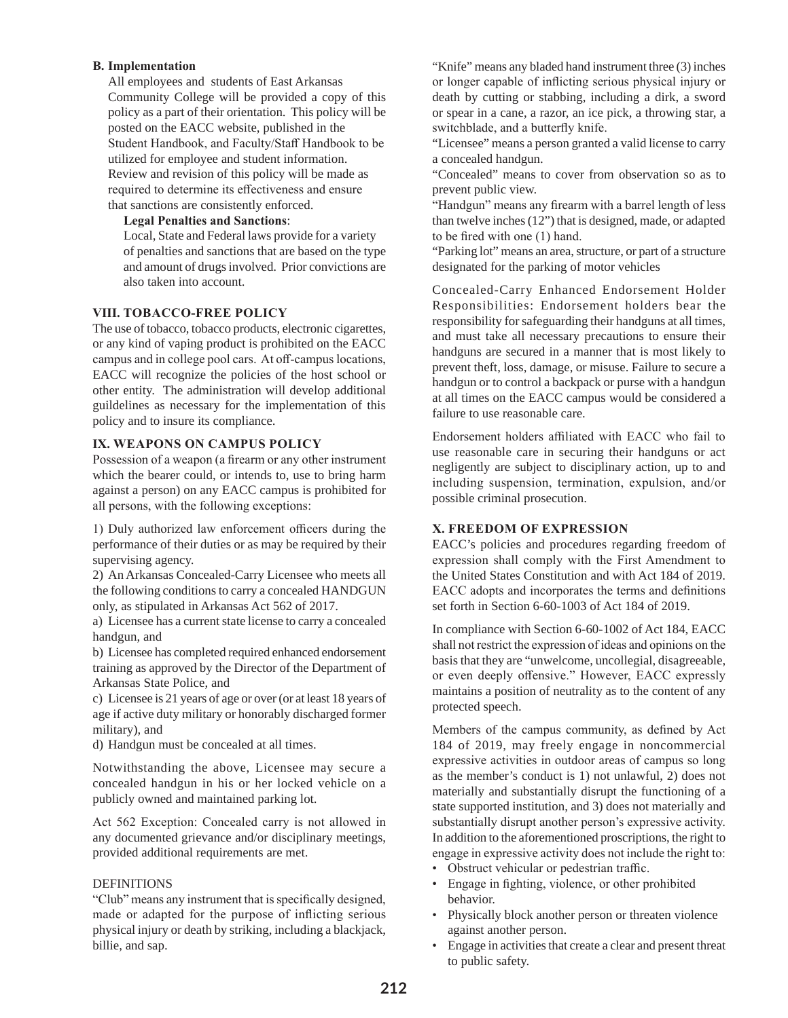#### **B. Implementation**

All employees and students of East Arkansas Community College will be provided a copy of this policy as a part of their orientation. This policy will be posted on the EACC website, published in the Student Handbook, and Faculty/Staff Handbook to be utilized for employee and student information. Review and revision of this policy will be made as required to determine its effectiveness and ensure that sanctions are consistently enforced.

#### **Legal Penalties and Sanctions**:

 Local, State and Federal laws provide for a variety of penalties and sanctions that are based on the type and amount of drugs involved. Prior convictions are also taken into account.

#### **VIII. TOBACCO-FREE POLICY**

The use of tobacco, tobacco products, electronic cigarettes, or any kind of vaping product is prohibited on the EACC campus and in college pool cars. At off-campus locations, EACC will recognize the policies of the host school or other entity. The administration will develop additional guildelines as necessary for the implementation of this policy and to insure its compliance.

#### **IX. WEAPONS ON CAMPUS POLICY**

Possession of a weapon (a firearm or any other instrument which the bearer could, or intends to, use to bring harm against a person) on any EACC campus is prohibited for all persons, with the following exceptions:

1) Duly authorized law enforcement officers during the performance of their duties or as may be required by their supervising agency.

2) An Arkansas Concealed-Carry Licensee who meets all the following conditions to carry a concealed HANDGUN only, as stipulated in Arkansas Act 562 of 2017.

a) Licensee has a current state license to carry a concealed handgun, and

b) Licensee has completed required enhanced endorsement training as approved by the Director of the Department of Arkansas State Police, and

c) Licensee is 21 years of age or over (or at least 18 years of age if active duty military or honorably discharged former military), and

d) Handgun must be concealed at all times.

Notwithstanding the above, Licensee may secure a concealed handgun in his or her locked vehicle on a publicly owned and maintained parking lot.

Act 562 Exception: Concealed carry is not allowed in any documented grievance and/or disciplinary meetings, provided additional requirements are met.

#### DEFINITIONS

"Club" means any instrument that is specifically designed, made or adapted for the purpose of inflicting serious physical injury or death by striking, including a blackjack, billie, and sap.

"Knife" means any bladed hand instrument three (3) inches or longer capable of inflicting serious physical injury or death by cutting or stabbing, including a dirk, a sword or spear in a cane, a razor, an ice pick, a throwing star, a switchblade, and a butterfly knife.

"Licensee" means a person granted a valid license to carry a concealed handgun.

"Concealed" means to cover from observation so as to prevent public view.

"Handgun" means any firearm with a barrel length of less than twelve inches (12") that is designed, made, or adapted to be fired with one (1) hand.

"Parking lot" means an area, structure, or part of a structure designated for the parking of motor vehicles

Concealed-Carry Enhanced Endorsement Holder Responsibilities: Endorsement holders bear the responsibility for safeguarding their handguns at all times, and must take all necessary precautions to ensure their handguns are secured in a manner that is most likely to prevent theft, loss, damage, or misuse. Failure to secure a handgun or to control a backpack or purse with a handgun at all times on the EACC campus would be considered a failure to use reasonable care.

Endorsement holders affiliated with EACC who fail to use reasonable care in securing their handguns or act negligently are subject to disciplinary action, up to and including suspension, termination, expulsion, and/or possible criminal prosecution.

#### **X. FREEDOM OF EXPRESSION**

EACC's policies and procedures regarding freedom of expression shall comply with the First Amendment to the United States Constitution and with Act 184 of 2019. EACC adopts and incorporates the terms and definitions set forth in Section 6-60-1003 of Act 184 of 2019.

In compliance with Section 6-60-1002 of Act 184, EACC shall not restrict the expression of ideas and opinions on the basis that they are "unwelcome, uncollegial, disagreeable, or even deeply offensive." However, EACC expressly maintains a position of neutrality as to the content of any protected speech.

Members of the campus community, as defined by Act 184 of 2019, may freely engage in noncommercial expressive activities in outdoor areas of campus so long as the member's conduct is 1) not unlawful, 2) does not materially and substantially disrupt the functioning of a state supported institution, and 3) does not materially and substantially disrupt another person's expressive activity. In addition to the aforementioned proscriptions, the right to engage in expressive activity does not include the right to:

- Obstruct vehicular or pedestrian traffic.
- Engage in fighting, violence, or other prohibited behavior.
- Physically block another person or threaten violence against another person.
- Engage in activities that create a clear and present threat to public safety.